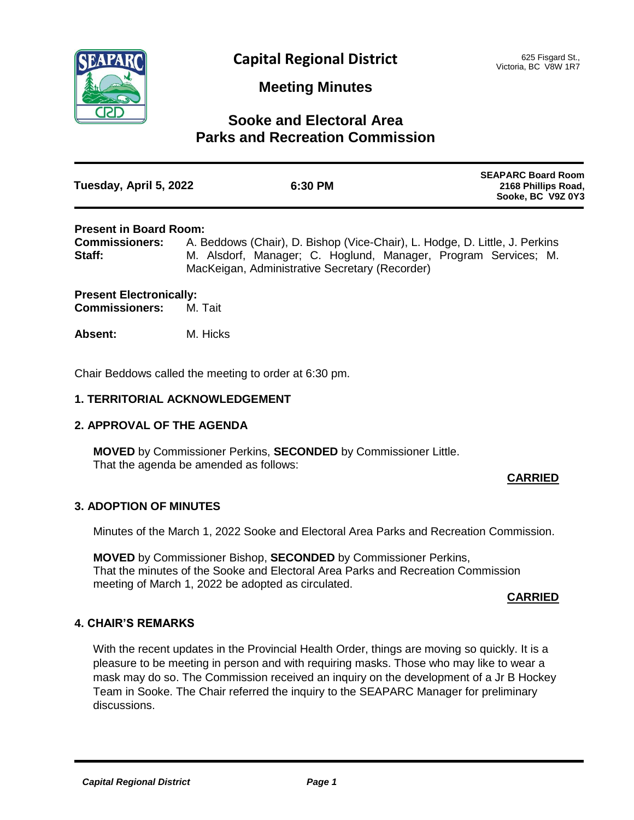

## **Meeting Minutes**

# **Sooke and Electoral Area Parks and Recreation Commission**

| Tuesday, April 5, 2022 | 6:30 PM | <b>SEAPARC Board Room</b><br>2168 Phillips Road,<br>Sooke, BC V9Z 0Y3 |
|------------------------|---------|-----------------------------------------------------------------------|
|                        |         |                                                                       |

### **Present in Board Room:**

**Commissioners:** A. Beddows (Chair), D. Bishop (Vice-Chair), L. Hodge, D. Little, J. Perkins Staff: M. Alsdorf, Manager; C. Hoglund, Manager, Program Services; M. MacKeigan, Administrative Secretary (Recorder)

## **Present Electronically:<br>Commissioners: M. Tait Commissioners:**

**Absent:** M. Hicks

Chair Beddows called the meeting to order at 6:30 pm.

## **1. TERRITORIAL ACKNOWLEDGEMENT**

## **2. APPROVAL OF THE AGENDA**

**MOVED** by Commissioner Perkins, **SECONDED** by Commissioner Little. That the agenda be amended as follows:

## **CARRIED**

## **3. ADOPTION OF MINUTES**

Minutes of the March 1, 2022 Sooke and Electoral Area Parks and Recreation Commission.

**MOVED** by Commissioner Bishop, **SECONDED** by Commissioner Perkins, That the minutes of the Sooke and Electoral Area Parks and Recreation Commission meeting of March 1, 2022 be adopted as circulated.

#### **CARRIED**

## **4. CHAIR'S REMARKS**

With the recent updates in the Provincial Health Order, things are moving so quickly. It is a pleasure to be meeting in person and with requiring masks. Those who may like to wear a mask may do so. The Commission received an inquiry on the development of a Jr B Hockey Team in Sooke. The Chair referred the inquiry to the SEAPARC Manager for preliminary discussions.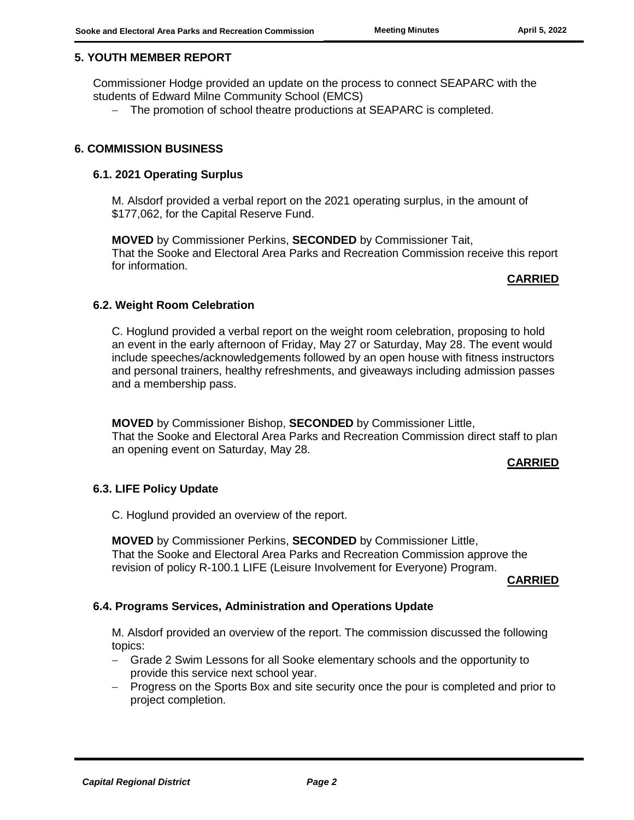## **5. YOUTH MEMBER REPORT**

Commissioner Hodge provided an update on the process to connect SEAPARC with the students of Edward Milne Community School (EMCS)

- The promotion of school theatre productions at SEAPARC is completed.

### **6. COMMISSION BUSINESS**

#### **6.1. 2021 Operating Surplus**

M. Alsdorf provided a verbal report on the 2021 operating surplus, in the amount of \$177,062, for the Capital Reserve Fund.

**MOVED** by Commissioner Perkins, **SECONDED** by Commissioner Tait, That the Sooke and Electoral Area Parks and Recreation Commission receive this report for information.

#### **CARRIED**

#### **6.2. Weight Room Celebration**

C. Hoglund provided a verbal report on the weight room celebration, proposing to hold an event in the early afternoon of Friday, May 27 or Saturday, May 28. The event would include speeches/acknowledgements followed by an open house with fitness instructors and personal trainers, healthy refreshments, and giveaways including admission passes and a membership pass.

**MOVED** by Commissioner Bishop, **SECONDED** by Commissioner Little, That the Sooke and Electoral Area Parks and Recreation Commission direct staff to plan an opening event on Saturday, May 28.

#### **CARRIED**

## **6.3. LIFE Policy Update**

C. Hoglund provided an overview of the report.

**MOVED** by Commissioner Perkins, **SECONDED** by Commissioner Little, That the Sooke and Electoral Area Parks and Recreation Commission approve the revision of policy R-100.1 LIFE (Leisure Involvement for Everyone) Program.

**CARRIED**

## **6.4. Programs Services, Administration and Operations Update**

M. Alsdorf provided an overview of the report. The commission discussed the following topics:

- Grade 2 Swim Lessons for all Sooke elementary schools and the opportunity to provide this service next school year.
- Progress on the Sports Box and site security once the pour is completed and prior to project completion.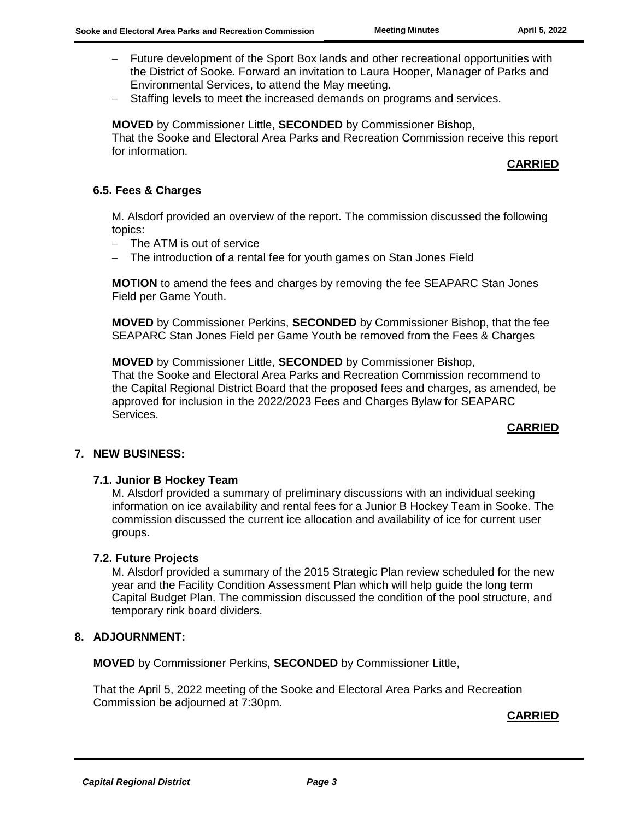- Future development of the Sport Box lands and other recreational opportunities with the District of Sooke. Forward an invitation to Laura Hooper, Manager of Parks and Environmental Services, to attend the May meeting.
- Staffing levels to meet the increased demands on programs and services.

**MOVED** by Commissioner Little, **SECONDED** by Commissioner Bishop, That the Sooke and Electoral Area Parks and Recreation Commission receive this report for information.

**CARRIED**

## **6.5. Fees & Charges**

M. Alsdorf provided an overview of the report. The commission discussed the following topics:

- The ATM is out of service
- The introduction of a rental fee for youth games on Stan Jones Field

**MOTION** to amend the fees and charges by removing the fee SEAPARC Stan Jones Field per Game Youth.

**MOVED** by Commissioner Perkins, **SECONDED** by Commissioner Bishop, that the fee SEAPARC Stan Jones Field per Game Youth be removed from the Fees & Charges

**MOVED** by Commissioner Little, **SECONDED** by Commissioner Bishop, That the Sooke and Electoral Area Parks and Recreation Commission recommend to the Capital Regional District Board that the proposed fees and charges, as amended, be approved for inclusion in the 2022/2023 Fees and Charges Bylaw for SEAPARC Services.

#### **CARRIED**

## **7. NEW BUSINESS:**

#### **7.1. Junior B Hockey Team**

M. Alsdorf provided a summary of preliminary discussions with an individual seeking information on ice availability and rental fees for a Junior B Hockey Team in Sooke. The commission discussed the current ice allocation and availability of ice for current user groups.

#### **7.2. Future Projects**

M. Alsdorf provided a summary of the 2015 Strategic Plan review scheduled for the new year and the Facility Condition Assessment Plan which will help guide the long term Capital Budget Plan. The commission discussed the condition of the pool structure, and temporary rink board dividers.

#### **8. ADJOURNMENT:**

**MOVED** by Commissioner Perkins, **SECONDED** by Commissioner Little,

That the April 5, 2022 meeting of the Sooke and Electoral Area Parks and Recreation Commission be adjourned at 7:30pm.

#### **CARRIED**

*Capital Regional District Page 3*